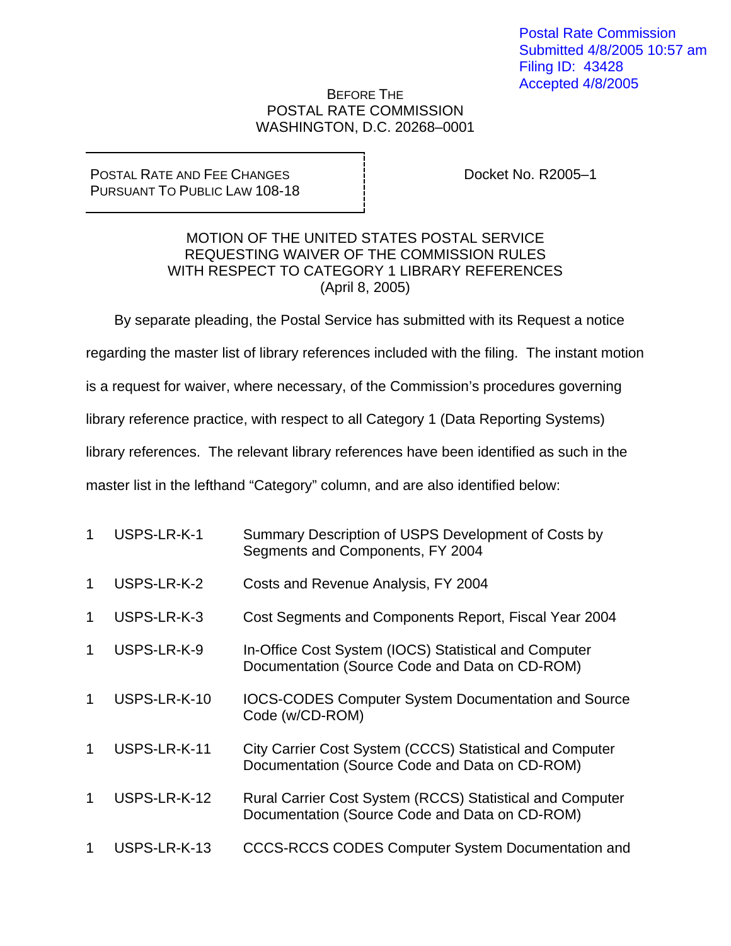## BEFORE THE POSTAL RATE COMMISSION WASHINGTON, D.C. 20268–0001

## POSTAL RATE AND FEE CHANGES PURSUANT TO PUBLIC LAW 108-18

Docket No. R2005–1

## MOTION OF THE UNITED STATES POSTAL SERVICE REQUESTING WAIVER OF THE COMMISSION RULES WITH RESPECT TO CATEGORY 1 LIBRARY REFERENCES (April 8, 2005)

By separate pleading, the Postal Service has submitted with its Request a notice

regarding the master list of library references included with the filing. The instant motion

is a request for waiver, where necessary, of the Commission's procedures governing

library reference practice, with respect to all Category 1 (Data Reporting Systems)

library references. The relevant library references have been identified as such in the

master list in the lefthand "Category" column, and are also identified below:

|   | USPS-LR-K-1  | Summary Description of USPS Development of Costs by<br>Segments and Components, FY 2004                     |
|---|--------------|-------------------------------------------------------------------------------------------------------------|
|   | USPS-LR-K-2  | Costs and Revenue Analysis, FY 2004                                                                         |
| 1 | USPS-LR-K-3  | Cost Segments and Components Report, Fiscal Year 2004                                                       |
|   | USPS-LR-K-9  | In-Office Cost System (IOCS) Statistical and Computer<br>Documentation (Source Code and Data on CD-ROM)     |
|   | USPS-LR-K-10 | <b>IOCS-CODES Computer System Documentation and Source</b><br>Code (w/CD-ROM)                               |
|   | USPS-LR-K-11 | City Carrier Cost System (CCCS) Statistical and Computer<br>Documentation (Source Code and Data on CD-ROM)  |
|   | USPS-LR-K-12 | Rural Carrier Cost System (RCCS) Statistical and Computer<br>Documentation (Source Code and Data on CD-ROM) |
|   | USPS-LR-K-13 | <b>CCCS-RCCS CODES Computer System Documentation and</b>                                                    |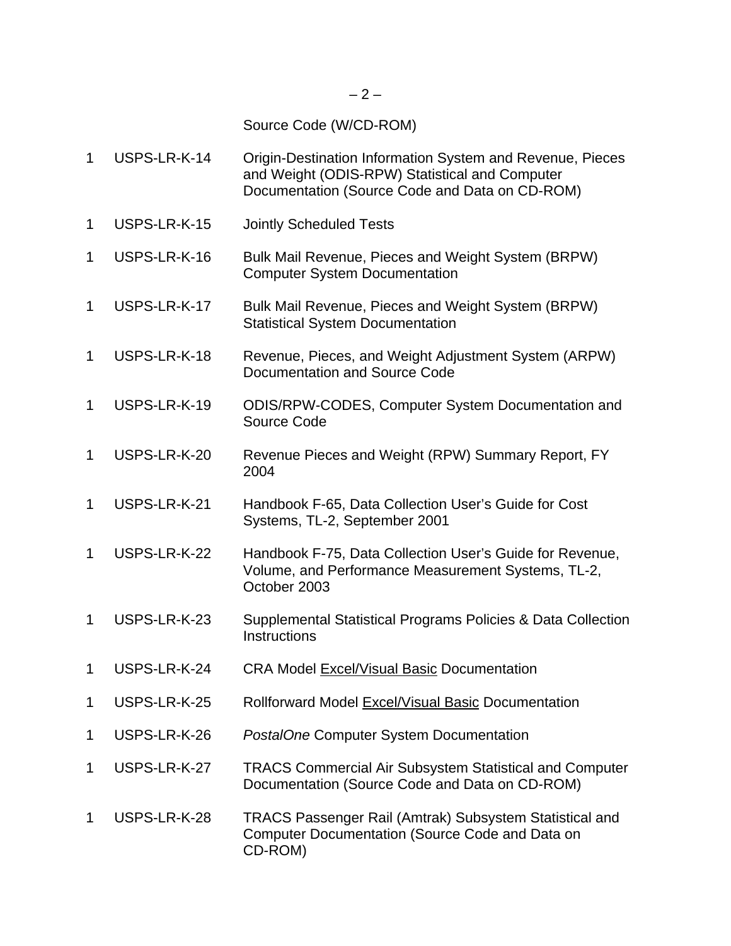$-2-$ 

Source Code (W/CD-ROM)

- 1 USPS-LR-K-14 Origin-Destination Information System and Revenue, Pieces and Weight (ODIS-RPW) Statistical and Computer Documentation (Source Code and Data on CD-ROM)
- 1 USPS-LR-K-15 Jointly Scheduled Tests
- 1 USPS-LR-K-16 Bulk Mail Revenue, Pieces and Weight System (BRPW) Computer System Documentation
- 1 USPS-LR-K-17 Bulk Mail Revenue, Pieces and Weight System (BRPW) Statistical System Documentation
- 1 USPS-LR-K-18 Revenue, Pieces, and Weight Adjustment System (ARPW) Documentation and Source Code
- 1 USPS-LR-K-19 ODIS/RPW-CODES, Computer System Documentation and Source Code
- 1 USPS-LR-K-20 Revenue Pieces and Weight (RPW) Summary Report, FY 2004
- 1 USPS-LR-K-21 Handbook F-65, Data Collection User's Guide for Cost Systems, TL-2, September 2001
- 1 USPS-LR-K-22 Handbook F-75, Data Collection User's Guide for Revenue, Volume, and Performance Measurement Systems, TL-2, October 2003
- 1 USPS-LR-K-23 Supplemental Statistical Programs Policies & Data Collection **Instructions**
- 1 USPS-LR-K-24 CRA Model Excel/Visual Basic Documentation
- 1 USPS-LR-K-25 Rollforward Model Excel/Visual Basic Documentation
- 1 USPS-LR-K-26 *PostalOne* Computer System Documentation
- 1 USPS-LR-K-27 TRACS Commercial Air Subsystem Statistical and Computer Documentation (Source Code and Data on CD-ROM)
- 1 USPS-LR-K-28 TRACS Passenger Rail (Amtrak) Subsystem Statistical and Computer Documentation (Source Code and Data on CD-ROM)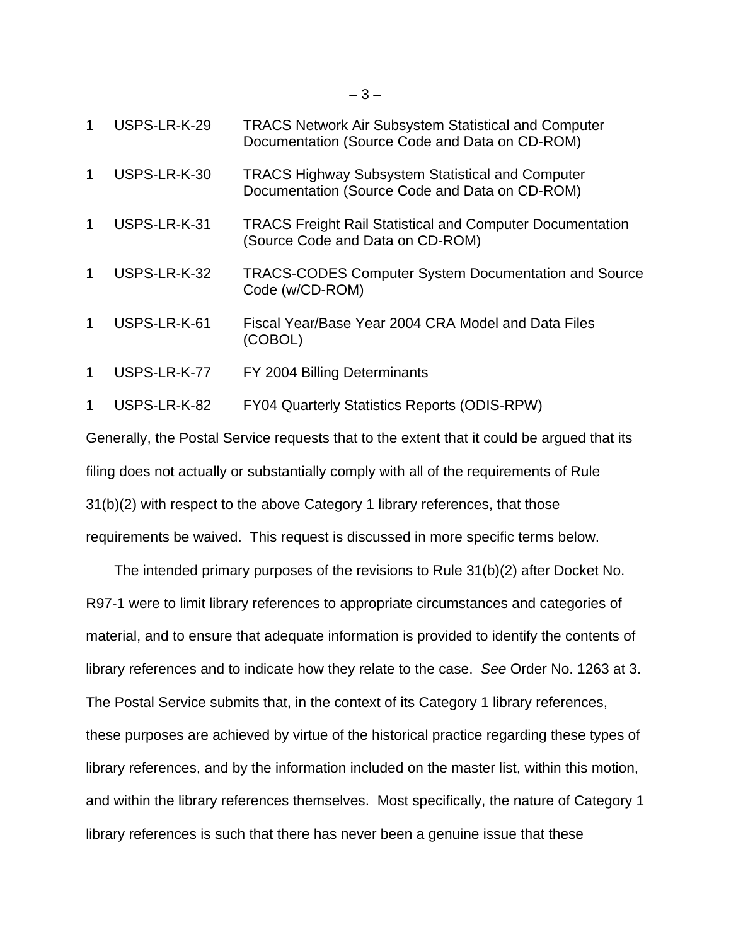| 1                                                                                          | USPS-LR-K-29 | <b>TRACS Network Air Subsystem Statistical and Computer</b><br>Documentation (Source Code and Data on CD-ROM) |  |
|--------------------------------------------------------------------------------------------|--------------|---------------------------------------------------------------------------------------------------------------|--|
| $\mathbf{1}$                                                                               | USPS-LR-K-30 | <b>TRACS Highway Subsystem Statistical and Computer</b><br>Documentation (Source Code and Data on CD-ROM)     |  |
| 1                                                                                          | USPS-LR-K-31 | <b>TRACS Freight Rail Statistical and Computer Documentation</b><br>(Source Code and Data on CD-ROM)          |  |
| 1                                                                                          | USPS-LR-K-32 | <b>TRACS-CODES Computer System Documentation and Source</b><br>Code (w/CD-ROM)                                |  |
| 1                                                                                          | USPS-LR-K-61 | Fiscal Year/Base Year 2004 CRA Model and Data Files<br>(COBOL)                                                |  |
| 1                                                                                          | USPS-LR-K-77 | FY 2004 Billing Determinants                                                                                  |  |
| 1                                                                                          | USPS-LR-K-82 | <b>FY04 Quarterly Statistics Reports (ODIS-RPW)</b>                                                           |  |
| Generally, the Postal Service requests that to the extent that it could be argued that its |              |                                                                                                               |  |

filing does not actually or substantially comply with all of the requirements of Rule 31(b)(2) with respect to the above Category 1 library references, that those requirements be waived. This request is discussed in more specific terms below.

The intended primary purposes of the revisions to Rule 31(b)(2) after Docket No. R97-1 were to limit library references to appropriate circumstances and categories of material, and to ensure that adequate information is provided to identify the contents of library references and to indicate how they relate to the case. *See* Order No. 1263 at 3. The Postal Service submits that, in the context of its Category 1 library references, these purposes are achieved by virtue of the historical practice regarding these types of library references, and by the information included on the master list, within this motion, and within the library references themselves. Most specifically, the nature of Category 1 library references is such that there has never been a genuine issue that these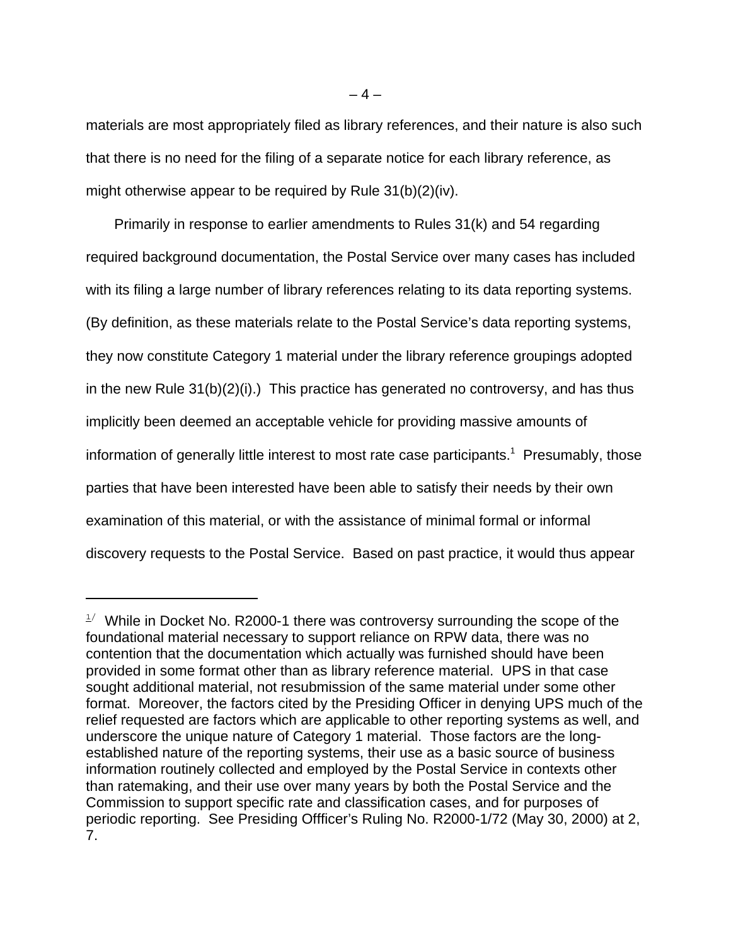materials are most appropriately filed as library references, and their nature is also such that there is no need for the filing of a separate notice for each library reference, as might otherwise appear to be required by Rule 31(b)(2)(iv).

Primarily in response to earlier amendments to Rules 31(k) and 54 regarding required background documentation, the Postal Service over many cases has included with its filing a large number of library references relating to its data reporting systems. (By definition, as these materials relate to the Postal Service's data reporting systems, they now constitute Category 1 material under the library reference groupings adopted in the new Rule 31(b)(2)(i).) This practice has generated no controversy, and has thus implicitly been deemed an acceptable vehicle for providing massive amounts of information of generally little interest to most rate case participants.<sup>1</sup> Presumably, those parties that have been interested have been able to satisfy their needs by their own examination of this material, or with the assistance of minimal formal or informal discovery requests to the Postal Service. Based on past practice, it would thus appear

 $1/2$  While in Docket No. R2000-1 there was controversy surrounding the scope of the foundational material necessary to support reliance on RPW data, there was no contention that the documentation which actually was furnished should have been provided in some format other than as library reference material. UPS in that case sought additional material, not resubmission of the same material under some other format. Moreover, the factors cited by the Presiding Officer in denying UPS much of the relief requested are factors which are applicable to other reporting systems as well, and underscore the unique nature of Category 1 material. Those factors are the longestablished nature of the reporting systems, their use as a basic source of business information routinely collected and employed by the Postal Service in contexts other than ratemaking, and their use over many years by both the Postal Service and the Commission to support specific rate and classification cases, and for purposes of periodic reporting. See Presiding Offficer's Ruling No. R2000-1/72 (May 30, 2000) at 2, 7.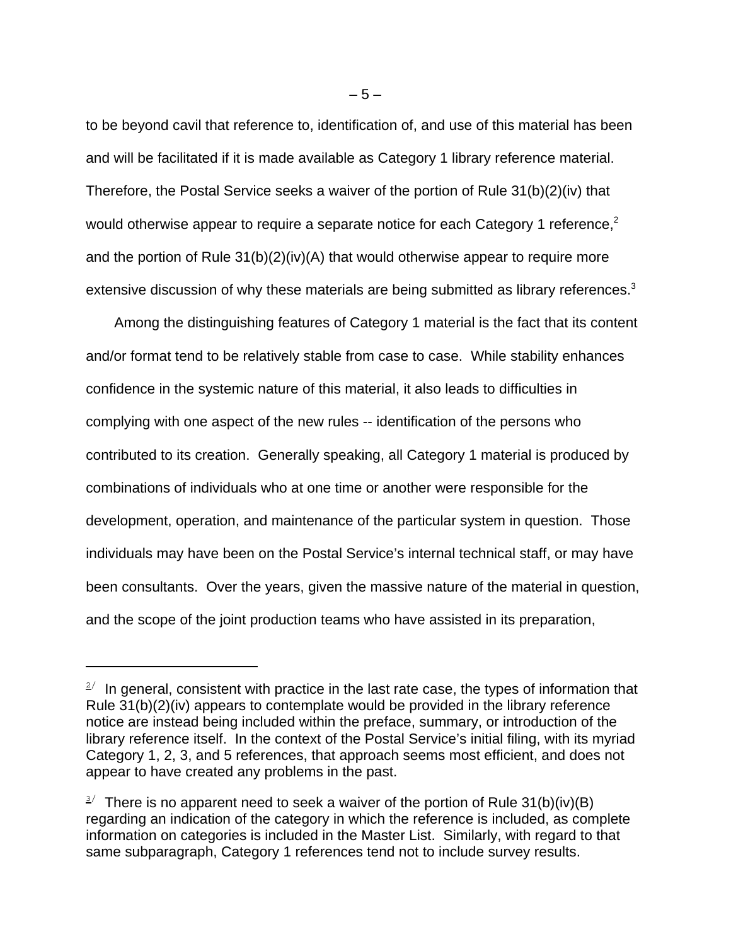to be beyond cavil that reference to, identification of, and use of this material has been and will be facilitated if it is made available as Category 1 library reference material. Therefore, the Postal Service seeks a waiver of the portion of Rule 31(b)(2)(iv) that would otherwise appear to require a separate notice for each Category 1 reference, $2$ and the portion of Rule 31(b)(2)(iv)(A) that would otherwise appear to require more extensive discussion of why these materials are being submitted as library references.<sup>3</sup>

Among the distinguishing features of Category 1 material is the fact that its content and/or format tend to be relatively stable from case to case. While stability enhances confidence in the systemic nature of this material, it also leads to difficulties in complying with one aspect of the new rules -- identification of the persons who contributed to its creation. Generally speaking, all Category 1 material is produced by combinations of individuals who at one time or another were responsible for the development, operation, and maintenance of the particular system in question. Those individuals may have been on the Postal Service's internal technical staff, or may have been consultants. Over the years, given the massive nature of the material in question, and the scope of the joint production teams who have assisted in its preparation,

 $-5-$ 

 $2^{2}$  In general, consistent with practice in the last rate case, the types of information that Rule 31(b)(2)(iv) appears to contemplate would be provided in the library reference notice are instead being included within the preface, summary, or introduction of the library reference itself. In the context of the Postal Service's initial filing, with its myriad Category 1, 2, 3, and 5 references, that approach seems most efficient, and does not appear to have created any problems in the past.

 $3/$  There is no apparent need to seek a waiver of the portion of Rule 31(b)(iv)(B) regarding an indication of the category in which the reference is included, as complete information on categories is included in the Master List. Similarly, with regard to that same subparagraph, Category 1 references tend not to include survey results.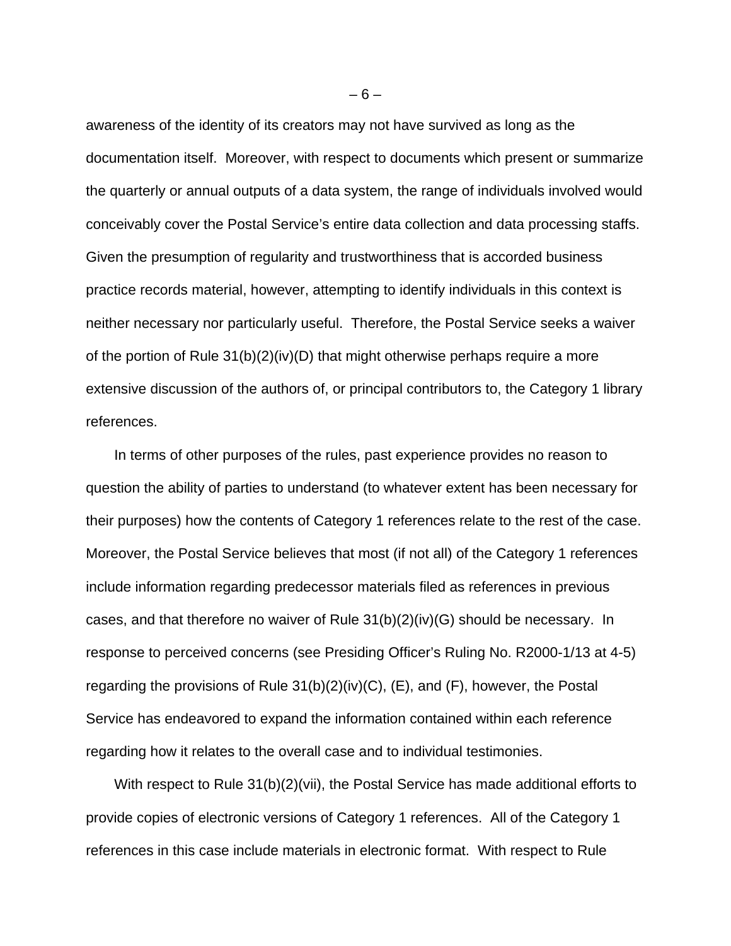awareness of the identity of its creators may not have survived as long as the documentation itself. Moreover, with respect to documents which present or summarize the quarterly or annual outputs of a data system, the range of individuals involved would conceivably cover the Postal Service's entire data collection and data processing staffs. Given the presumption of regularity and trustworthiness that is accorded business practice records material, however, attempting to identify individuals in this context is neither necessary nor particularly useful. Therefore, the Postal Service seeks a waiver of the portion of Rule  $31(b)(2)(iv)(D)$  that might otherwise perhaps require a more extensive discussion of the authors of, or principal contributors to, the Category 1 library references.

In terms of other purposes of the rules, past experience provides no reason to question the ability of parties to understand (to whatever extent has been necessary for their purposes) how the contents of Category 1 references relate to the rest of the case. Moreover, the Postal Service believes that most (if not all) of the Category 1 references include information regarding predecessor materials filed as references in previous cases, and that therefore no waiver of Rule 31(b)(2)(iv)(G) should be necessary. In response to perceived concerns (see Presiding Officer's Ruling No. R2000-1/13 at 4-5) regarding the provisions of Rule 31(b)(2)(iv)(C), (E), and (F), however, the Postal Service has endeavored to expand the information contained within each reference regarding how it relates to the overall case and to individual testimonies.

With respect to Rule 31(b)(2)(vii), the Postal Service has made additional efforts to provide copies of electronic versions of Category 1 references. All of the Category 1 references in this case include materials in electronic format. With respect to Rule

 $-6-$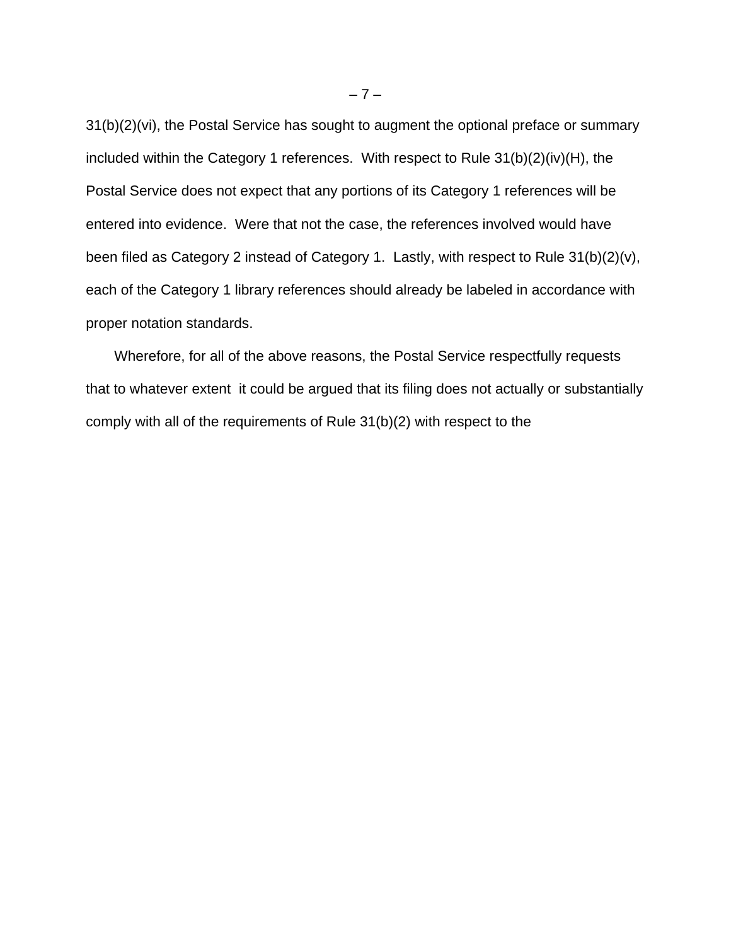31(b)(2)(vi), the Postal Service has sought to augment the optional preface or summary included within the Category 1 references. With respect to Rule 31(b)(2)(iv)(H), the Postal Service does not expect that any portions of its Category 1 references will be entered into evidence. Were that not the case, the references involved would have been filed as Category 2 instead of Category 1. Lastly, with respect to Rule 31(b)(2)(v), each of the Category 1 library references should already be labeled in accordance with proper notation standards.

 Wherefore, for all of the above reasons, the Postal Service respectfully requests that to whatever extent it could be argued that its filing does not actually or substantially comply with all of the requirements of Rule 31(b)(2) with respect to the